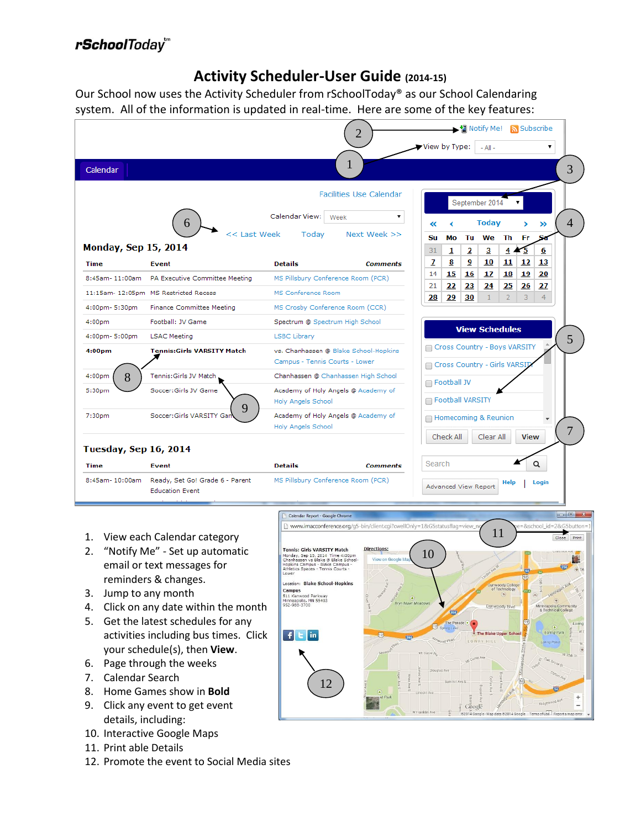# rSchoolToday<sup>"</sup>

## **Activity Scheduler-User Guide (2014-15)**

Our School now uses the Activity Scheduler from rSchoolToday® as our School Calendaring system. All of the information is updated in real-time. Here are some of the key features:

|                              | Notify Me!<br>Subscribe<br>2                              |                                                                                                       |                                       |                |           |                         |                                                              |                      |             |                      |   |
|------------------------------|-----------------------------------------------------------|-------------------------------------------------------------------------------------------------------|---------------------------------------|----------------|-----------|-------------------------|--------------------------------------------------------------|----------------------|-------------|----------------------|---|
|                              |                                                           |                                                                                                       |                                       | View by Type:  |           |                         | $-$ All $-$                                                  |                      |             | ۰.                   |   |
| Calendar                     |                                                           |                                                                                                       |                                       |                |           |                         |                                                              |                      |             |                      | 3 |
|                              |                                                           |                                                                                                       | <b>Facilities Use Calendar</b>        | September 2014 |           |                         |                                                              |                      |             |                      |   |
|                              | 6                                                         | Calendar View:   Week                                                                                 | ▼                                     | «              |           |                         | <b>Today</b>                                                 |                      |             | ≫                    | 4 |
|                              | << Last Week                                              | Todav                                                                                                 | Next Week >>                          | Su             | Μо        | Tu                      | We Th                                                        |                      | Fr.         | S.                   |   |
| <b>Monday, Sep 15, 2014</b>  |                                                           |                                                                                                       |                                       | 31             | 1         | $\overline{\mathbf{2}}$ | 3                                                            | $\overline{4}$       | 75          | 6                    |   |
| <b>Time</b>                  | Event                                                     | <b>Details</b>                                                                                        | <b>Comments</b>                       | $\mathbf{z}$   | 8         | $\overline{9}$          | 10                                                           | 11                   | 12          | 13                   |   |
| 8:45am-11:00am               | PA Executive Committee Meeting                            | MS Pillsbury Conference Room (PCR)                                                                    |                                       | 14             | 15        | <b>16</b>               | 17                                                           | 18                   | 19          | 20                   |   |
|                              | 11:15am- 12:05pm MS Restricted Recess                     | MS Conference Room                                                                                    |                                       | 21<br>28       | 22<br>29  | 23<br>30                | 24                                                           | 25<br>$\overline{2}$ | 26<br>3     | 27<br>$\overline{4}$ |   |
| 4:00pm-5:30pm                | Finance Committee Meeting                                 | MS Crosby Conference Room (CCR)                                                                       |                                       |                |           |                         |                                                              |                      |             |                      |   |
| 4:00 <sub>pm</sub>           | Football: JV Game                                         | Spectrum @ Spectrum High School                                                                       |                                       |                |           |                         | <b>View Schedules</b>                                        |                      |             |                      |   |
| 4:00pm-5:00pm                | <b>LSAC Meeting</b>                                       | <b>LSBC Library</b>                                                                                   |                                       |                |           |                         |                                                              |                      |             |                      | 5 |
| 4:00 <sub>pm</sub>           | <b>Tennis:Girls VARSITY Match</b>                         | Campus - Tennis Courts - Lower                                                                        | vs. Chanhassen @ Blake School-Hopkins |                |           |                         | Cross Country - Boys VARSITY<br>Cross Country - Girls VARSIT |                      |             |                      |   |
| 4:00 <sub>pm</sub><br>8      | Tennis: Girls JV Match                                    |                                                                                                       | Chanhassen @ Chanhassen High School   |                |           |                         |                                                              |                      |             |                      |   |
| 5:30pm                       | Soccer:Girls JV Game                                      | □ Football JV<br>Academy of Holy Angels @ Academy of<br>Football VARSITY<br><b>Holy Angels School</b> |                                       |                |           |                         |                                                              |                      |             |                      |   |
| 7:30pm                       | 9<br>Soccer: Girls VARSITY Gar                            | Academy of Holy Angels @ Academy of<br>Homecoming & Reunion<br><b>Holy Angels School</b><br>7         |                                       |                |           |                         |                                                              |                      |             |                      |   |
| <b>Tuesday, Sep 16, 2014</b> |                                                           |                                                                                                       |                                       |                | Check All |                         | Clear All                                                    |                      | <b>View</b> |                      |   |
| <b>Time</b>                  | Event                                                     | <b>Details</b>                                                                                        | <b>Comments</b>                       | Search         |           |                         |                                                              |                      |             | Q                    |   |
| 8:45am-10:00am               | Ready, Set Go! Grade 6 - Parent<br><b>Education Event</b> | MS Pillsbury Conference Room (PCR)                                                                    |                                       |                |           | Advanced View Report    |                                                              | <b>Help</b>          |             | Login                |   |

- 1. View each Calendar category
- 2. "Notify Me" Set up automatic email or text messages for reminders & changes.
- 3. Jump to any month
- 4. Click on any date within the month
- 5. Get the latest schedules for any activities including bus times. Click your schedule(s), then **View**.
- 6. Page through the weeks
- 7. Calendar Search
- 8. Home Games show in **Bold**
- 9. Click any event to get event details, including:
- 10. Interactive Google Maps
- 11. Print able Details
- 12. Promote the event to Social Media sites

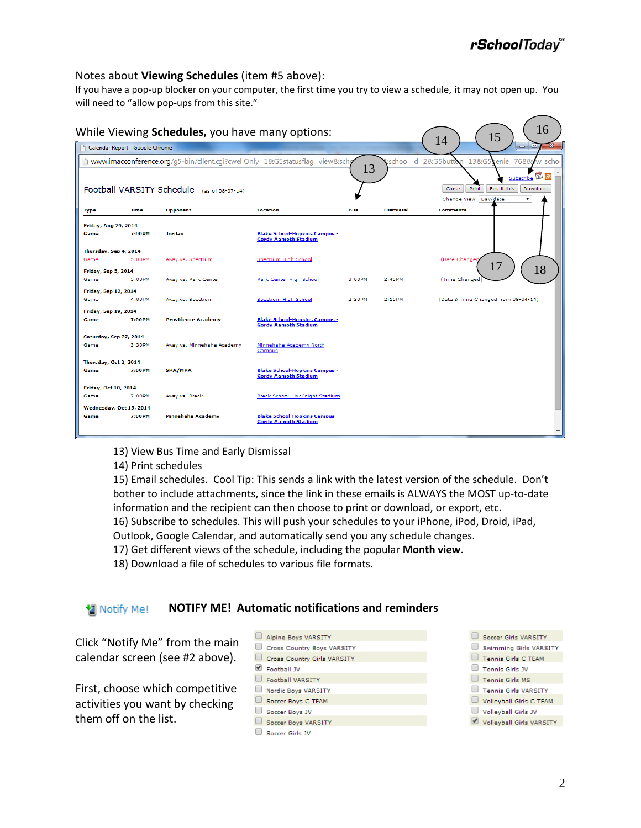### Notes about **Viewing Schedules** (item #5 above):

If you have a pop-up blocker on your computer, the first time you try to view a schedule, it may not open up. You will need to "allow pop-ups from this site."

|                             | Calendar Report - Google Chrome |                            |                                                                             |        |                  | 15<br>14<br>$ -$<br>x                        |
|-----------------------------|---------------------------------|----------------------------|-----------------------------------------------------------------------------|--------|------------------|----------------------------------------------|
|                             |                                 |                            | www.imacconference.org/q5-bin/client.cgi?cwellOnly=1&G5statusflag=view&scho |        |                  | vschool_id=2&G5button=13&G5eenie=768&vw_scho |
|                             |                                 |                            |                                                                             | 13     |                  | ีซ ล<br>Subscribe                            |
|                             | Football VARSITY Schedule       | (as of 08-07-14)           |                                                                             |        |                  | Email this<br>Print<br>Download<br>Close     |
|                             |                                 |                            |                                                                             |        |                  | Change View: Day/date<br>۷.                  |
| <b>Type</b>                 | Time                            | Opponent                   | <b>Location</b>                                                             | Bus    | <b>Dismissal</b> | <b>Comments</b>                              |
| Friday, Aug 29, 2014        |                                 |                            |                                                                             |        |                  |                                              |
| Game                        | 7:00PM                          | Jordan                     | <b>Blake School-Hopkins Campus -</b><br><b>Gordy Aamoth Stadium</b>         |        |                  |                                              |
| Thursday, Sep 4, 2014       |                                 |                            |                                                                             |        |                  |                                              |
| Game                        | <del>5:00PM</del>               |                            | <del>. Hioh :</del>                                                         |        |                  | (Date Changed<br>17                          |
| Friday, Sep 5, 2014         |                                 |                            |                                                                             |        |                  | 18                                           |
| Game                        | 5:00PM                          | Away vs. Park Center       | Park Center High School                                                     | 3:00PM | 2:45PM           | (Time Changed)                               |
| Friday, Sep 12, 2014        |                                 |                            |                                                                             |        |                  |                                              |
| Game                        | 4:00PM                          | Away vs. Spectrum          | Spectrum High School                                                        | 2:30PM | 2:15PM           | (Date & Time Changed from 09-04-14)          |
| <b>Friday, Sep 19, 2014</b> |                                 |                            |                                                                             |        |                  |                                              |
| Game                        | 7:00PM                          | <b>Providence Academy</b>  | <b>Blake School-Hopkins Campus -</b><br><b>Gordy Aamoth Stadium</b>         |        |                  |                                              |
| Saturday, Sep 27, 2014      |                                 |                            |                                                                             |        |                  |                                              |
| Game                        | 3:30PM                          | Away vs. Minnehaha Academy | Minnehaha Academy North<br>Campus                                           |        |                  |                                              |
| Thursday, Oct 2, 2014       |                                 |                            |                                                                             |        |                  |                                              |
| Game                        | 7:00PM                          | <b>SPA/MPA</b>             | <b>Blake School-Hopkins Campus -</b><br><b>Gordy Aamoth Stadium</b>         |        |                  |                                              |
| Friday, Oct 10, 2014        |                                 |                            |                                                                             |        |                  |                                              |
| Game                        | 7:00PM                          | Away vs. Breck             | Breck School - McKnight Stadium                                             |        |                  |                                              |
|                             | Wednesday, Oct 15, 2014         |                            |                                                                             |        |                  |                                              |
| Game                        | 7:00PM                          | Minnehaha Academy          | <b>Blake School-Hopkins Campus -</b>                                        |        |                  |                                              |

13) View Bus Time and Early Dismissal

14) Print schedules

15) Email schedules. Cool Tip: This sends a link with the latest version of the schedule. Don't bother to include attachments, since the link in these emails is ALWAYS the MOST up-to-date information and the recipient can then choose to print or download, or export, etc. 16) Subscribe to schedules. This will push your schedules to your iPhone, iPod, Droid, iPad, Outlook, Google Calendar, and automatically send you any schedule changes.

17) Get different views of the schedule, including the popular **Month view**.

Alpine Boys VARSITY

18) Download a file of schedules to various file formats.

#### Notify Me! **NOTIFY ME! Automatic notifications and reminders**

Click "Notify Me" from the main calendar screen (see #2 above).

First, choose which competitive activities you want by checking them off on the list.

| Cross Country Boys VARSITY  |
|-----------------------------|
| Cross Country Girls VARSITY |
| Football JV                 |
| Football VARSITY            |
| Nordic Boys VARSITY         |
| Soccer Boys C TEAM          |
| Soccer Boys JV              |
| Soccer Boys VARSITY         |
| Soccer Girls JV             |
|                             |

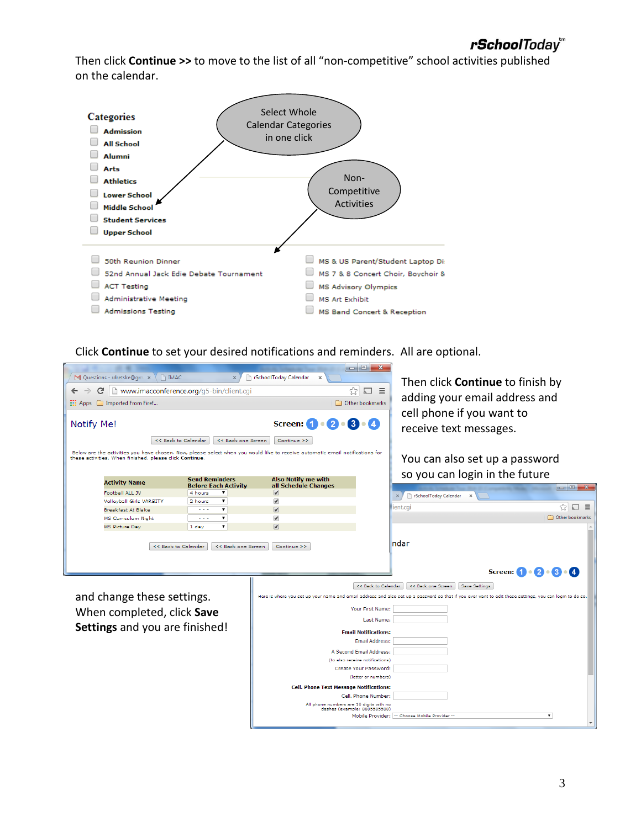Then click **Continue >>** to move to the list of all "non-competitive" school activities published on the calendar.



Click **Continue** to set your desired notifications and reminders. All are optional.



and change these settings. When completed, click **Save Settings** and you are finished!

| << Back to Calendar<br><< Back one Screen<br><b>Save Settings</b>                                                                                        |
|----------------------------------------------------------------------------------------------------------------------------------------------------------|
| Here is where you set up your name and email address and also set up a password so that if you ever want to edit these settings, you can login to do so. |
| Your First Name:                                                                                                                                         |
| Last Name:                                                                                                                                               |
| <b>Email Notifications:</b>                                                                                                                              |
| Email Address:                                                                                                                                           |
| A Second Email Address:                                                                                                                                  |
| (to also receive notifications)                                                                                                                          |
| Create Your Password:                                                                                                                                    |
| (letter or numbers)                                                                                                                                      |
| <b>Cell. Phone Text Message Notifications:</b>                                                                                                           |
| Cell, Phone Number:                                                                                                                                      |
| All phone numbers are 10 digits with no<br>dashes (example: 8885585588)                                                                                  |
| Mobile Provider: -- Choose Mobile Provider --                                                                                                            |
| $\check{}$                                                                                                                                               |